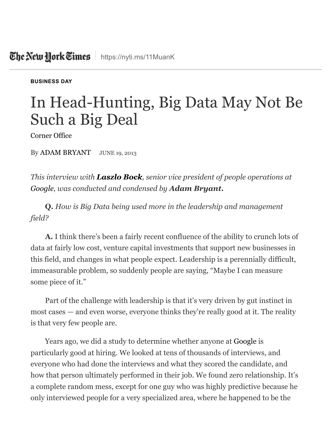**[BUSINESS DAY](https://www.nytimes.com/pages/business/index.html)**

# In Head-Hunting, Big Data May Not Be Such a Big Deal

[Corner Office](https://www.nytimes.com/column/corner-office)

By [ADAM BRYANT](https://www.nytimes.com/by/adam-bryant) JUNE 19, 2013

*This interview with [Laszlo Bock](http://www.linkedin.com/pub/laszlo-bock/8/234/114), senior vice president of people operations at [Google,](http://www.google.com/about/) was conducted and condensed by Adam Bryant.*

**Q.** *How is Big Data being used more in the leadership and management field?*

**A.** I think there's been a fairly recent confluence of the ability to crunch lots of data at fairly low cost, venture capital investments that support new businesses in this field, and changes in what people expect. Leadership is a perennially difficult, immeasurable problem, so suddenly people are saying, "Maybe I can measure some piece of it."

Part of the challenge with leadership is that it's very driven by gut instinct in most cases — and even worse, everyone thinks they're really good at it. The reality is that very few people are.

Years ago, we did a study to determine whether anyone at [Google](http://topics.nytimes.com/top/news/business/companies/google_inc/index.html?inline=nyt-org) is particularly good at hiring. We looked at tens of thousands of interviews, and everyone who had done the interviews and what they scored the candidate, and how that person ultimately performed in their job. We found zero relationship. It's a complete random mess, except for one guy who was highly predictive because he only interviewed people for a very specialized area, where he happened to be the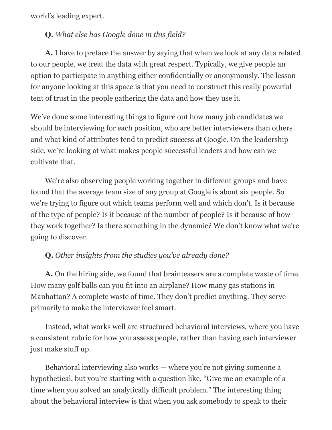world's leading expert.

## **Q.** *What else has Google done in this field?*

**A.** I have to preface the answer by saying that when we look at any data related to our people, we treat the data with great respect. Typically, we give people an option to participate in anything either confidentially or anonymously. The lesson for anyone looking at this space is that you need to construct this really powerful tent of trust in the people gathering the data and how they use it.

We've done some interesting things to figure out how many job candidates we should be interviewing for each position, who are better interviewers than others and what kind of attributes tend to predict success at Google. On the leadership side, we're looking at what makes people successful leaders and how can we cultivate that.

We're also observing people working together in different groups and have found that the average team size of any group at Google is about six people. So we're trying to figure out which teams perform well and which don't. Is it because of the type of people? Is it because of the number of people? Is it because of how they work together? Is there something in the dynamic? We don't know what we're going to discover.

# **Q.** *Other insights from the studies you've already done?*

**A.** On the hiring side, we found that brainteasers are a complete waste of time. How many golf balls can you fit into an airplane? How many gas stations in Manhattan? A complete waste of time. They don't predict anything. They serve primarily to make the interviewer feel smart.

Instead, what works well are structured behavioral interviews, where you have a consistent rubric for how you assess people, rather than having each interviewer just make stuff up.

Behavioral interviewing also works — where you're not giving someone a hypothetical, but you're starting with a question like, "Give me an example of a time when you solved an analytically difficult problem." The interesting thing about the behavioral interview is that when you ask somebody to speak to their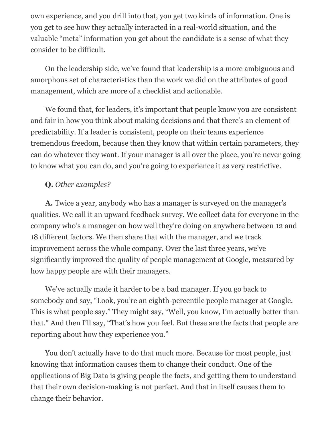own experience, and you drill into that, you get two kinds of information. One is you get to see how they actually interacted in a real-world situation, and the valuable "meta" information you get about the candidate is a sense of what they consider to be difficult.

On the leadership side, we've found that leadership is a more ambiguous and amorphous set of characteristics than the work we did on the attributes of good management, which are more of a checklist and actionable.

We found that, for leaders, it's important that people know you are consistent and fair in how you think about making decisions and that there's an element of predictability. If a leader is consistent, people on their teams experience tremendous freedom, because then they know that within certain parameters, they can do whatever they want. If your manager is all over the place, you're never going to know what you can do, and you're going to experience it as very restrictive.

#### **Q.** *Other examples?*

**A.** Twice a year, anybody who has a manager is surveyed on the manager's qualities. We call it an upward feedback survey. We collect data for everyone in the company who's a manager on how well they're doing on anywhere between 12 and 18 different factors. We then share that with the manager, and we track improvement across the whole company. Over the last three years, we've significantly improved the quality of people management at Google, measured by how happy people are with their managers.

We've actually made it harder to be a bad manager. If you go back to somebody and say, "Look, you're an eighth-percentile people manager at Google. This is what people say." They might say, "Well, you know, I'm actually better than that." And then I'll say, "That's how you feel. But these are the facts that people are reporting about how they experience you."

You don't actually have to do that much more. Because for most people, just knowing that information causes them to change their conduct. One of the applications of Big Data is giving people the facts, and getting them to understand that their own decision-making is not perfect. And that in itself causes them to change their behavior.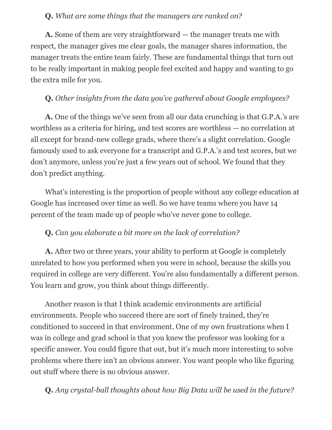#### **Q.** *What are some things that the managers are ranked on?*

**A.** Some of them are very straightforward — the manager treats me with respect, the manager gives me clear goals, the manager shares information, the manager treats the entire team fairly. These are fundamental things that turn out to be really important in making people feel excited and happy and wanting to go the extra mile for you.

## **Q.** *Other insights from the data you've gathered about Google employees?*

**A.** One of the things we've seen from all our data crunching is that G.P.A.'s are worthless as a criteria for hiring, and test scores are worthless — no correlation at all except for brand-new college grads, where there's a slight correlation. Google famously used to ask everyone for a transcript and G.P.A.'s and test scores, but we don't anymore, unless you're just a few years out of school. We found that they don't predict anything.

What's interesting is the proportion of people without any college education at Google has increased over time as well. So we have teams where you have 14 percent of the team made up of people who've never gone to college.

### **Q.** *Can you elaborate a bit more on the lack of correlation?*

**A.** After two or three years, your ability to perform at Google is completely unrelated to how you performed when you were in school, because the skills you required in college are very different. You're also fundamentally a different person. You learn and grow, you think about things differently.

Another reason is that I think academic environments are artificial environments. People who succeed there are sort of finely trained, they're conditioned to succeed in that environment. One of my own frustrations when I was in college and grad school is that you knew the professor was looking for a specific answer. You could figure that out, but it's much more interesting to solve problems where there isn't an obvious answer. You want people who like figuring out stuff where there is no obvious answer.

**Q.** *Any crystal-ball thoughts about how Big Data will be used in the future?*